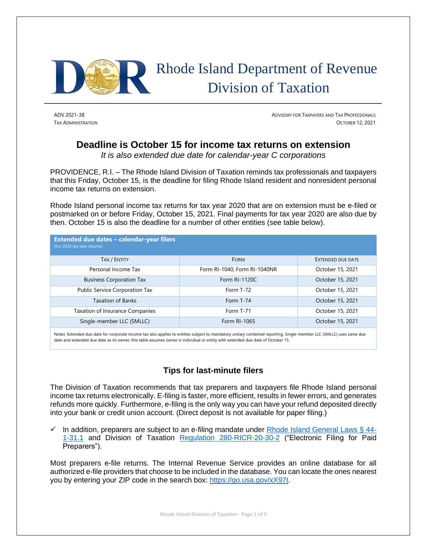

ADV 2021-38 ADVISORY FOR TAXPAYERS AND TAX PROFESSIONALS TAX ADMINISTRATION OCTOBER 12, 2021

# **Deadline is October 15 for income tax returns on extension**

*It is also extended due date for calendar-year C corporations*

PROVIDENCE, R.I. – The Rhode Island Division of Taxation reminds tax professionals and taxpayers that this Friday, October 15, is the deadline for filing Rhode Island resident and nonresident personal income tax returns on extension.

Rhode Island personal income tax returns for tax year 2020 that are on extension must be e-filed or postmarked on or before Friday, October 15, 2021. Final payments for tax year 2020 are also due by then. October 15 is also the deadline for a number of other entities (see table below).

| Extended due dates - calendar-year filers<br>(For 2020 tax year returns) |                              |                          |
|--------------------------------------------------------------------------|------------------------------|--------------------------|
| <b>TAX / ENTITY</b>                                                      | <b>FORM</b>                  | <b>EXTENDED DUE DATE</b> |
| Personal Income Tax                                                      | Form RI-1040, Form RI-1040NR | October 15, 2021         |
| <b>Business Corporation Tax</b>                                          | Form RI-1120C                | October 15, 2021         |
| Public Service Corporation Tax                                           | Form T-72                    | October 15, 2021         |
| <b>Taxation of Banks</b>                                                 | Form T-74                    | October 15, 2021         |
| Taxation of Insurance Companies                                          | Form T-71                    | October 15, 2021         |
| Single-member LLC (SMLLC)                                                | Form RI-1065                 | October 15, 2021         |

Notes: Extended due date for corporate income tax also applies to entities subject to mandatory unitary combined reporting. Single-member LLC (SMLLC) uses same due date and extended due date as its owner; this table assumes owner is individual or entity with extended due date of October 15.

# **Tips for last-minute filers**

The Division of Taxation recommends that tax preparers and taxpayers file Rhode Island personal income tax returns electronically. E-filing is faster, more efficient, results in fewer errors, and generates refunds more quickly. Furthermore, e-filing is the only way you can have your refund deposited directly into your bank or credit union account. (Direct deposit is not available for paper filing.)

 $\checkmark$  In addition, preparers are subject to an e-filing mandate under [Rhode Island General Laws § 44-](http://webserver.rilin.state.ri.us/Statutes/TITLE44/44-1/44-1-31.1.HTM) [1-31.1](http://webserver.rilin.state.ri.us/Statutes/TITLE44/44-1/44-1-31.1.HTM) and Division of Taxation [Regulation 280-RICR-20-30-2](https://rules.sos.ri.gov/regulations/part/280-20-30-2) ("Electronic Filing for Paid Preparers").

Most preparers e-file returns. The Internal Revenue Service provides an online database for all authorized e-file providers that choose to be included in the database. You can locate the ones nearest you by entering your ZIP code in the search box: [https://go.usa.gov/xX97t.](https://go.usa.gov/xX97t)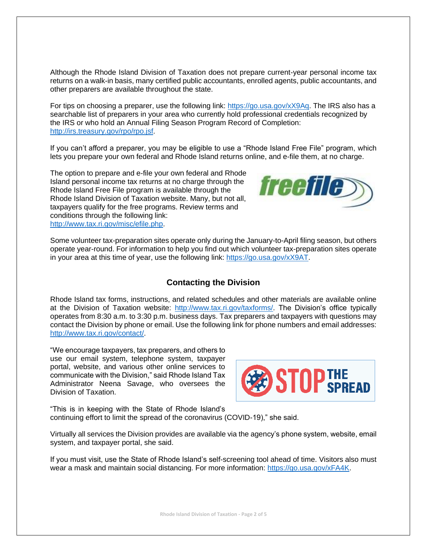Although the Rhode Island Division of Taxation does not prepare current-year personal income tax returns on a walk-in basis, many certified public accountants, enrolled agents, public accountants, and other preparers are available throughout the state.

For tips on choosing a preparer, use the following link: [https://go.usa.gov/xX9Aq.](https://go.usa.gov/xX9Aq) The IRS also has a searchable list of preparers in your area who currently hold professional credentials recognized by the IRS or who hold an Annual Filing Season Program Record of Completion: [http://irs.treasury.gov/rpo/rpo.jsf.](http://irs.treasury.gov/rpo/rpo.jsf)

If you can't afford a preparer, you may be eligible to use a "Rhode Island Free File" program, which lets you prepare your own federal and Rhode Island returns online, and e-file them, at no charge.

The option to prepare and e-file your own federal and Rhode Island personal income tax returns at no charge through the Rhode Island Free File program is available through the Rhode Island Division of Taxation website. Many, but not all, taxpayers qualify for the free programs. Review terms and conditions through the following link: [http://www.tax.ri.gov/misc/efile.php.](http://www.tax.ri.gov/misc/efile.php)



Some volunteer tax-preparation sites operate only during the January-to-April filing season, but others operate year-round. For information to help you find out which volunteer tax-preparation sites operate in your area at this time of year, use the following link: [https://go.usa.gov/xX9AT.](https://go.usa.gov/xX9AT)

### **Contacting the Division**

Rhode Island tax forms, instructions, and related schedules and other materials are available online at the Division of Taxation website: [http://www.tax.ri.gov/taxforms/.](http://www.tax.ri.gov/taxforms/) The Division's office typically operates from 8:30 a.m. to 3:30 p.m. business days. Tax preparers and taxpayers with questions may contact the Division by phone or email. Use the following link for phone numbers and email addresses: [http://www.tax.ri.gov/contact/.](http://www.tax.ri.gov/contact/)

"We encourage taxpayers, tax preparers, and others to use our email system, telephone system, taxpayer portal, website, and various other online services to communicate with the Division," said Rhode Island Tax Administrator Neena Savage, who oversees the Division of Taxation.



"This is in keeping with the State of Rhode Island's continuing effort to limit the spread of the coronavirus (COVID-19)," she said.

Virtually all services the Division provides are available via the agency's phone system, website, email system, and taxpayer portal, she said.

If you must visit, use the State of Rhode Island's self-screening tool ahead of time. Visitors also must wear a mask and maintain social distancing. For more information: [https://go.usa.gov/xFA4K.](https://go.usa.gov/xFA4K)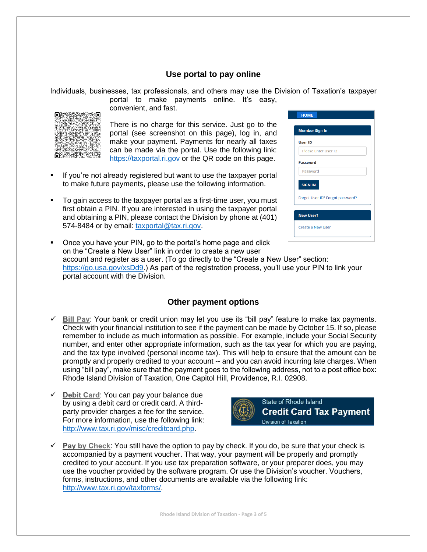### **Use portal to pay online**

Individuals, businesses, tax professionals, and others may use the Division of Taxation's taxpayer

portal to make payments online. It's easy, convenient, and fast.



There is no charge for this service. Just go to the portal (see screenshot on this page), log in, and make your payment. Payments for nearly all taxes can be made via the portal. Use the following link: [https://taxportal.ri.gov](https://taxportal.ri.gov/) or the QR code on this page.

- If you're not already registered but want to use the taxpayer portal to make future payments, please use the following information.
- To gain access to the taxpayer portal as a first-time user, you must first obtain a PIN. If you are interested in using the taxpayer portal and obtaining a PIN, please contact the Division by phone at (401) 574-8484 or by email: [taxportal@tax.ri.gov.](mailto:taxportal@tax.ri.gov)

| <b>Member Sign In</b> |                                  |  |
|-----------------------|----------------------------------|--|
| <b>User ID</b>        |                                  |  |
|                       | Please Enter User ID             |  |
| Password              |                                  |  |
| Password              |                                  |  |
| <b>SIGN IN</b>        |                                  |  |
|                       | Forgot User ID? Forgot password? |  |
| <b>New User?</b>      |                                  |  |
| Create a New User     |                                  |  |

■ Once you have your PIN, go to the portal's home page and click on the "Create a New User" link in order to create a new user account and register as a user. (To go directly to the "Create a New User" section: [https://go.usa.gov/xsDd9.](https://go.usa.gov/xsDd9)) As part of the registration process, you'll use your PIN to link your portal account with the Division.

# **Other payment options**

- $\checkmark$  Bill Pay: Your bank or credit union may let you use its "bill pay" feature to make tax payments. Check with your financial institution to see if the payment can be made by October 15. If so, please remember to include as much information as possible. For example, include your Social Security number, and enter other appropriate information, such as the tax year for which you are paying, and the tax type involved (personal income tax). This will help to ensure that the amount can be promptly and properly credited to your account -- and you can avoid incurring late charges. When using "bill pay", make sure that the payment goes to the following address, not to a post office box: Rhode Island Division of Taxation, One Capitol Hill, Providence, R.I. 02908.
- $\checkmark$  Debit Card: You can pay your balance due by using a debit card or credit card. A thirdparty provider charges a fee for the service. For more information, use the following link: [http://www.tax.ri.gov/misc/creditcard.php.](http://www.tax.ri.gov/misc/creditcard.php)



 $\checkmark$  Pay by Check: You still have the option to pay by check. If you do, be sure that your check is accompanied by a payment voucher. That way, your payment will be properly and promptly credited to your account. If you use tax preparation software, or your preparer does, you may use the voucher provided by the software program. Or use the Division's voucher. Vouchers, forms, instructions, and other documents are available via the following link: [http://www.tax.ri.gov/taxforms/.](http://www.tax.ri.gov/taxforms/)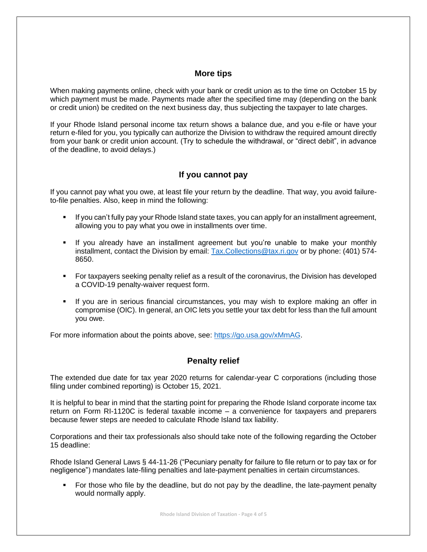#### **More tips**

When making payments online, check with your bank or credit union as to the time on October 15 by which payment must be made. Payments made after the specified time may (depending on the bank or credit union) be credited on the next business day, thus subjecting the taxpayer to late charges.

If your Rhode Island personal income tax return shows a balance due, and you e-file or have your return e-filed for you, you typically can authorize the Division to withdraw the required amount directly from your bank or credit union account. (Try to schedule the withdrawal, or "direct debit", in advance of the deadline, to avoid delays.)

### **If you cannot pay**

If you cannot pay what you owe, at least file your return by the deadline. That way, you avoid failureto-file penalties. Also, keep in mind the following:

- If you can't fully pay your Rhode Island state taxes, you can apply for an installment agreement, allowing you to pay what you owe in installments over time.
- If you already have an installment agreement but you're unable to make your monthly installment, contact the Division by email: [Tax.Collections@tax.ri.gov](mailto:Tax.Collections@tax.ri.gov) or by phone: (401) 574-8650.
- **For taxpayers seeking penalty relief as a result of the coronavirus, the Division has developed** a COVID-19 penalty-waiver request form.
- If you are in serious financial circumstances, you may wish to explore making an offer in compromise (OIC). In general, an OIC lets you settle your tax debt for less than the full amount you owe.

For more information about the points above, see: [https://go.usa.gov/xMmAG.](https://go.usa.gov/xMmAG)

### **Penalty relief**

The extended due date for tax year 2020 returns for calendar-year C corporations (including those filing under combined reporting) is October 15, 2021.

It is helpful to bear in mind that the starting point for preparing the Rhode Island corporate income tax return on Form RI-1120C is federal taxable income – a convenience for taxpayers and preparers because fewer steps are needed to calculate Rhode Island tax liability.

Corporations and their tax professionals also should take note of the following regarding the October 15 deadline:

Rhode Island General Laws § 44-11-26 ("Pecuniary penalty for failure to file return or to pay tax or for negligence") mandates late-filing penalties and late-payment penalties in certain circumstances.

For those who file by the deadline, but do not pay by the deadline, the late-payment penalty would normally apply.